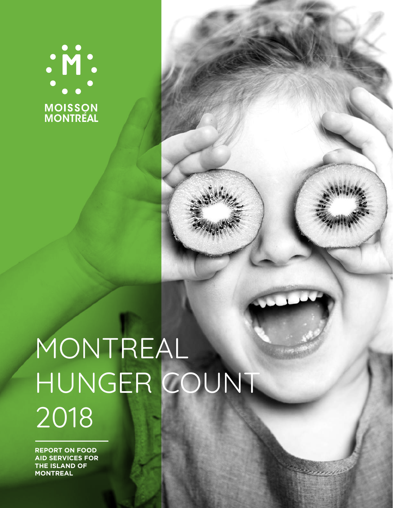# . M :<br>. . . . **MOISSON<br>MONTRÉAL**

## MONTREAL HUNGER COUNT 2018

**REPORT ON FOOD AID SERVICES FOR THE ISLAND OF MONTREAL**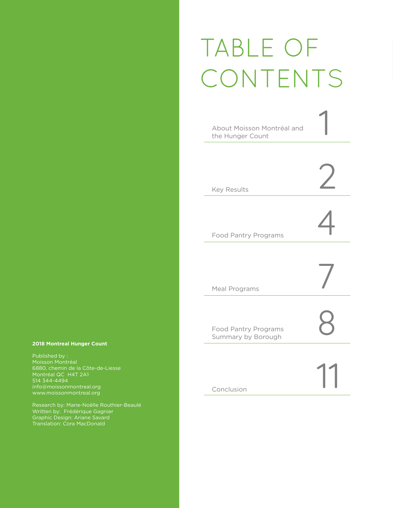### TABLE OF CONTENTS



**2018 Montreal Hunger Count**

Published by : Moisson Montréal 6880, chemin de la Côte-de-Liesse Montréal QC H4T 2A1

Written by: Frédérique Gagnier Graphic Design: Ariane Savard Translation: Cora MacDonald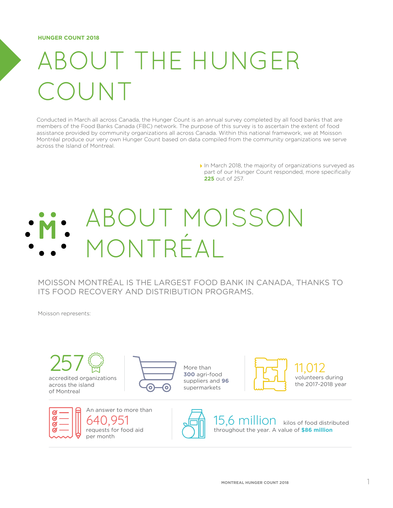### **OUT THE HUNGER** COUNT

Conducted in March all across Canada, the Hunger Count is an annual survey completed by all food banks that are members of the Food Banks Canada (FBC) network. The purpose of this survey is to ascertain the extent of food assistance provided by community organizations all across Canada. Within this national framework, we at Moisson Montréal produce our very own Hunger Count based on data compiled from the community organizations we serve across the Island of Montreal.

> In March 2018, the majority of organizations surveyed as part of our Hunger Count responded, more specifically **225** out of 257.

### ABOUT MOISSON MONTRÉAL

MOISSON MONTRÉAL IS THE LARGEST FOOD BANK IN CANADA, THANKS TO ITS FOOD RECOVERY AND DISTRIBUTION PROGRAMS.

Moisson represents:

257 accredited organizations across the island of Montreal



More than **300** agri-food suppliers and **96** supermarkets



11,012 volunteers during the 2017-2018 year





15,6 million kilos of food distributed throughout the year. A value of **\$86 million**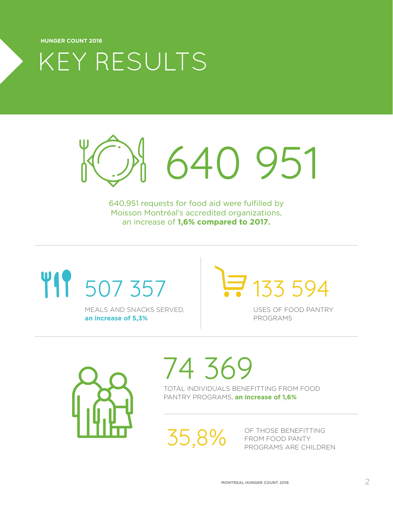KEY RESULTS

640 951

640,951 requests for food aid were fulfilled by Moisson Montréal's accredited organizations, an increase of **1,6% compared to 2017.**

## **TIP** 507 357

MEALS AND SNACKS SERVED, **an increase of 5,3%**

133 594

USES OF FOOD PANTRY PROGRAMS



## 74 369

TOTAL INDIVIDUALS BENEFITTING FROM FOOD PANTRY PROGRAMS, **an increase of 1,6%** 

35,8%

OF THOSE BENEFITTING FROM FOOD PANTY PROGRAMS ARE CHILDREN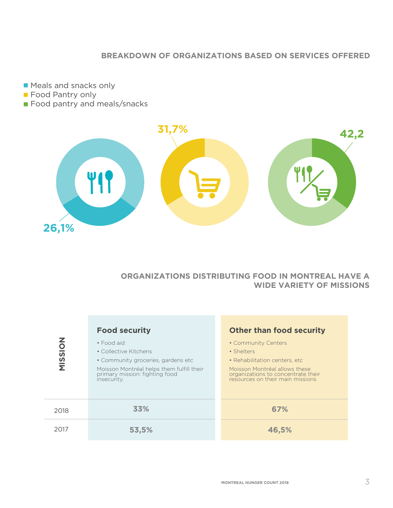#### **BREAKDOWN OF ORGANIZATIONS BASED ON SERVICES OFFERED**

**Meals and snacks only Food Pantry only** 

**Food pantry and meals/snacks** 



#### **ORGANIZATIONS DISTRIBUTING FOOD IN MONTREAL HAVE A WIDE VARIETY OF MISSIONS**

| <b>MISSION</b> | <b>Food security</b><br>• Food aid<br>• Collective Kitchens<br>• Community groceries, gardens etc<br>Moisson Montréal helps them fulfill their<br>primary mission: fighting food<br>insecurity. | <b>Other than food security</b><br>• Community Centers<br>• Shelters<br>• Rehabilitation centers, etc.<br>Moisson Montréal allows these<br>organizations to concentrate their<br>resources on their main missions |
|----------------|-------------------------------------------------------------------------------------------------------------------------------------------------------------------------------------------------|-------------------------------------------------------------------------------------------------------------------------------------------------------------------------------------------------------------------|
| 2018           | 33%                                                                                                                                                                                             | 67%                                                                                                                                                                                                               |
| 2017           | 53,5%                                                                                                                                                                                           | 46,5%                                                                                                                                                                                                             |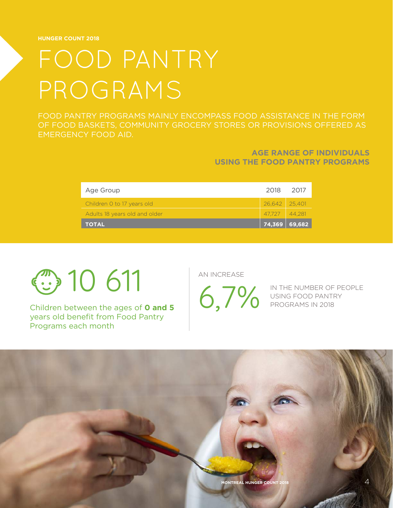### FOOD PANTRY PROGRAMS

FOOD PANTRY PROGRAMS MAINLY ENCOMPASS FOOD ASSISTANCE IN THE FORM OF FOOD BASKETS, COMMUNITY GROCERY STORES OR PROVISIONS OFFERED AS EMERGENCY FOOD AID.

#### **AGE RANGE OF INDIVIDUALS USING THE FOOD PANTRY PROGRAMS**

| Age Group                     | 2018 2017       |  |
|-------------------------------|-----------------|--|
| Children 0 to 17 years old    | 26,642 25,401   |  |
| Adults 18 years old and older | $47.727$ 44.281 |  |
| <b>TOTAL</b>                  | $74,369$ 69,682 |  |

 $\circled{1}$  10 611

Children between the ages of **0 and 5** years old benefit from Food Pantry Programs each month

AN INCREASE

IN THE NUMBER OF PEOPLE USING FOOD PANTRY PROGRAMS IN 2018

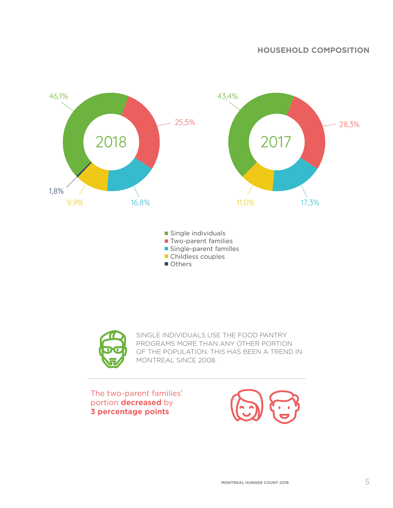#### **HOUSEHOLD COMPOSITION**



Others



SINGLE INDIVIDUALS USE THE FOOD PANTRY PROGRAMS MORE THAN ANY OTHER PORTION OF THE POPULATION. THIS HAS BEEN A TREND IN MONTREAL SINCE 2008.

The two-parent families' portion **decreased** by **3 percentage points**

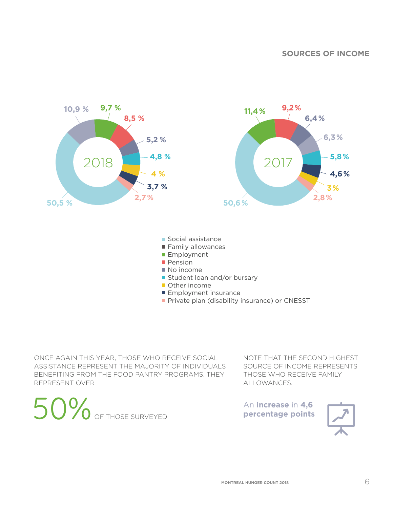#### **SOURCES OF INCOME**



- **Employment insurance**
- **Private plan (disability insurance) or CNESST**

ONCE AGAIN THIS YEAR, THOSE WHO RECEIVE SOCIAL ASSISTANCE REPRESENT THE MAJORITY OF INDIVIDUALS BENEFITING FROM THE FOOD PANTRY PROGRAMS. THEY REPRESENT OVER

50% OF THOSE SURVEYED **PERIMENT AN INCREASE IN 4,6** 

NOTE THAT THE SECOND HIGHEST SOURCE OF INCOME REPRESENTS THOSE WHO RECEIVE FAMILY ALLOWANCES.

An **increase** in **4,6** 

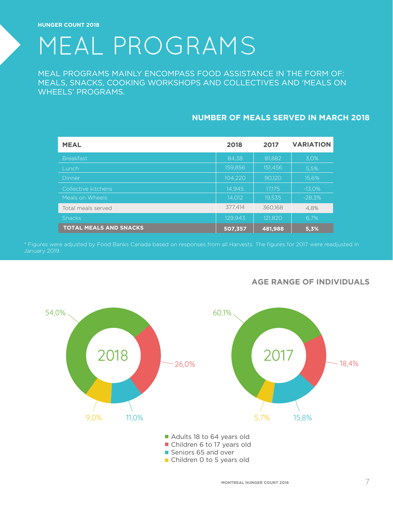### MEAL PROGRAMS

MEAL PROGRAMS MAINLY ENCOMPASS FOOD ASSISTANCE IN THE FORM OF: MEALS, SNACKS, COOKING WORKSHOPS AND COLLECTIVES AND 'MEALS ON WHEELS' PROGRAMS.

#### **NUMBER OF MEALS SERVED IN MARCH 2018**

| <b>MEAL</b>                   | 2018    | 2017    | <b>VARIATION</b> |
|-------------------------------|---------|---------|------------------|
| <b>Breakfast</b>              | 84.38   | 81,882  | 3.0%             |
| Lunch                         | 159,856 | 151,456 | 5.5%             |
| Dinner                        | 104,220 | 90,120  | 15,6%            |
| Collective kitchens           | 14,945  | 17.175  | $-13,0%$         |
| Meals on Wheels               | 14.012  | 19,535  | $-28.3%$         |
| Total meals served            | 377.414 | 360.168 | 4.8%             |
| <b>Snacks</b>                 | 129,943 | 121.820 | 6.7%             |
| <b>TOTAL MEALS AND SNACKS</b> | 507,357 | 481,988 | 5,3%             |

\* Figures were adjusted by Food Banks Canada based on responses from all Harvests. The figures for 2017 were readjusted in



#### **AGE RANGE OF INDIVIDUALS**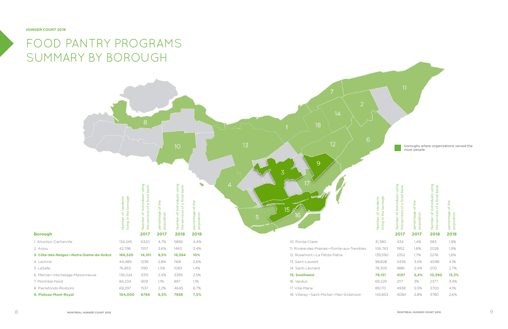2. Anjou

4. Lachine 5. LaSalle

**Borough**

| living in the borough<br>Number of residents | Number of individuals using<br>the services of a food bank | percentage of the<br>population | Number of individuals using<br>the services of a food bank | of the<br>percentage<br>population |
|----------------------------------------------|------------------------------------------------------------|---------------------------------|------------------------------------------------------------|------------------------------------|
|                                              | 2017                                                       | 2017                            | 2018                                                       | 2018                               |
| 31,380                                       | 434                                                        | 1,4%                            | 583                                                        | 1,9%                               |
| 06,743                                       | 1952                                                       | 1,8%                            | 2026                                                       | 1,9%                               |
| 39,590                                       | 2352                                                       | 1,7%                            | 2276                                                       | 1,6%                               |
| 98,828                                       | 3458                                                       | 3,5%                            | 4098                                                       | 4,1%                               |
| 78,305                                       | 1886                                                       | 2,4%                            | 2110                                                       | 2,7%                               |
| 78,151                                       | 4197                                                       | 5,4%                            | 10,390                                                     | 13,3%                              |
| 59,229                                       | 2117                                                       | 3%                              | 2377                                                       | 3,4%                               |
| 39,170                                       | 4938                                                       | 5,5%                            | 3700                                                       | 4,1%                               |
| 43,853                                       | 4084                                                       | 2,8%                            | 3780                                                       | 2,6%                               |

 $88$  **MONTREAL HUNGER COUNT 2018 MONTREAL HUNGER COUNT 2018** 



### FOOD PANTRY PROGRAMS SUMMARY BY BOROUGH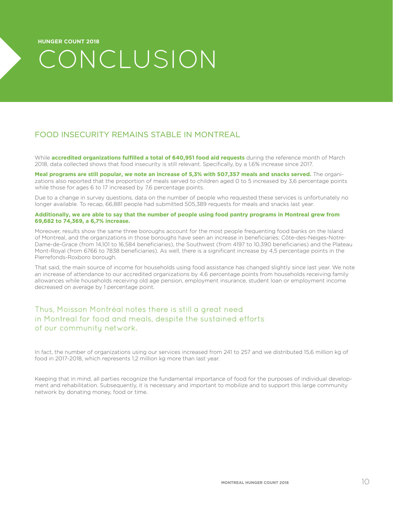### CONCLUSION

#### FOOD INSECURITY REMAINS STABLE IN MONTREAL

While **accredited organizations fulfilled a total of 640,951 food aid requests** during the reference month of March 2018, data collected shows that food insecurity is still relevant. Specifically, by a 1,6% increase since 2017.

Meal programs are still popular, we note an increase of 5.3% with 507.357 meals and snacks served. The organizations also reported that the proportion of meals served to children aged 0 to 5 increased by 3,6 percentage points while those for ages 6 to 17 increased by 7,6 percentage points.

Due to a change in survey questions, data on the number of people who requested these services is unfortunately no longer available. To recap, 66,881 people had submitted 505,389 requests for meals and snacks last year.

#### **Additionally, we are able to say that the number of people using food pantry programs in Montreal grew from 69,682 to 74,369, a 6,7% increase.**

Moreover, results show the same three boroughs account for the most people frequenting food banks on the Island of Montreal, and the organizations in those boroughs have seen an increase in beneficiaries; Côte-des-Neiges-Notre-Dame-de-Grace (from 14,101 to 16,584 beneficiaries), the Southwest (from 4197 to 10,390 beneficiaries) and the Plateau Mont-Royal (from 6766 to 7838 beneficiaries). As well, there is a significant increase by 4,5 percentage points in the Pierrefonds-Roxboro borough.

That said, the main source of income for households using food assistance has changed slightly since last year. We note an increase of attendance to our accredited organizations by 4,6 percentage points from households receiving family allowances while households receiving old age pension, employment insurance, student loan or employment income decreased on average by 1 percentage point.

#### Thus, Moisson Montréal notes there is still a great need in Montreal for food and meals, despite the sustained efforts of our community network.

In fact, the number of organizations using our services increased from 241 to 257 and we distributed 15,6 million kg of food in 2017-2018, which represents 1,2 million kg more than last year.

Keeping that in mind, all parties recognize the fundamental importance of food for the purposes of individual development and rehabilitation. Subsequently, it is necessary and important to mobilize and to support this large community network by donating money, food or time.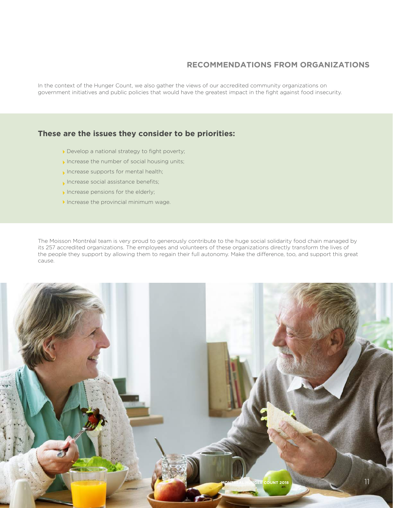#### **RECOMMENDATIONS FROM ORGANIZATIONS**

In the context of the Hunger Count, we also gather the views of our accredited community organizations on government initiatives and public policies that would have the greatest impact in the fight against food insecurity.

#### **These are the issues they consider to be priorities:**

- Develop a national strategy to fight poverty;
- Increase the number of social housing units;
- Increase supports for mental health;
- Increase social assistance benefits;
- $\blacktriangleright$  Increase pensions for the elderly;
- Increase the provincial minimum wage.

The Moisson Montréal team is very proud to generously contribute to the huge social solidarity food chain managed by its 257 accredited organizations. The employees and volunteers of these organizations directly transform the lives of the people they support by allowing them to regain their full autonomy. Make the difference, too, and support this great cause.